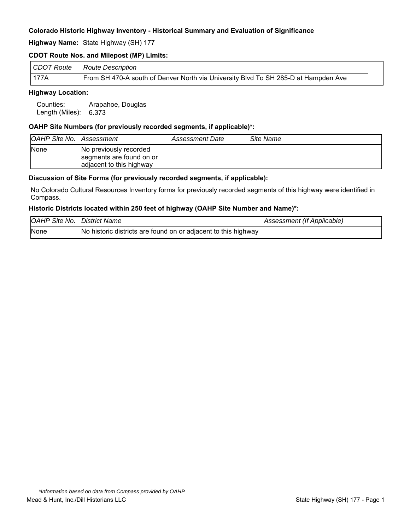**Highway Name:** State Highway (SH) 177

### **CDOT Route Nos. and Milepost (MP) Limits:**

| CDOT Route | Route Description                                                                  |
|------------|------------------------------------------------------------------------------------|
| 177A       | From SH 470-A south of Denver North via University Blvd To SH 285-D at Hampden Ave |

### **Highway Location:**

Counties: Arapahoe, Douglas Length (Miles): 6.373

### **OAHP Site Numbers (for previously recorded segments, if applicable)\*:**

| OAHP Site No. Assessment |                                                                                | Assessment Date | Site Name |
|--------------------------|--------------------------------------------------------------------------------|-----------------|-----------|
| <b>None</b>              | No previously recorded<br>segments are found on or<br>adjacent to this highway |                 |           |

#### **Discussion of Site Forms (for previously recorded segments, if applicable):**

No Colorado Cultural Resources Inventory forms for previously recorded segments of this highway were identified in Compass.

#### **Historic Districts located within 250 feet of highway (OAHP Site Number and Name)\*:**

| <b>OAHP Site No. District Name</b> |                                                                | Assessment (If Applicable) |
|------------------------------------|----------------------------------------------------------------|----------------------------|
| None                               | No historic districts are found on or adjacent to this highway |                            |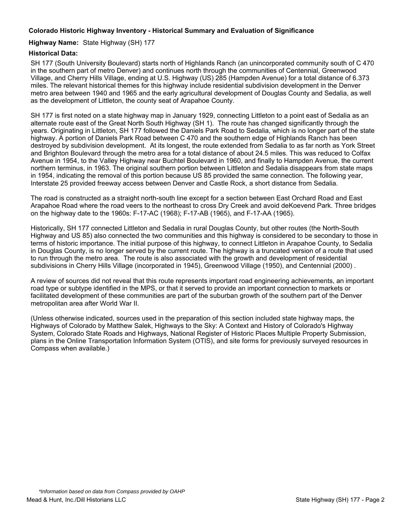### **Highway Name:** State Highway (SH) 177

### **Historical Data:**

SH 177 (South University Boulevard) starts north of Highlands Ranch (an unincorporated community south of C 470 in the southern part of metro Denver) and continues north through the communities of Centennial, Greenwood Village, and Cherry Hills Village, ending at U.S. Highway (US) 285 (Hampden Avenue) for a total distance of 6.373 miles. The relevant historical themes for this highway include residential subdivision development in the Denver metro area between 1940 and 1965 and the early agricultural development of Douglas County and Sedalia, as well as the development of Littleton, the county seat of Arapahoe County.

SH 177 is first noted on a state highway map in January 1929, connecting Littleton to a point east of Sedalia as an alternate route east of the Great North South Highway (SH 1). The route has changed significantly through the years. Originating in Littleton, SH 177 followed the Daniels Park Road to Sedalia, which is no longer part of the state highway. A portion of Daniels Park Road between C 470 and the southern edge of Highlands Ranch has been destroyed by subdivision development. At its longest, the route extended from Sedalia to as far north as York Street and Brighton Boulevard through the metro area for a total distance of about 24.5 miles. This was reduced to Colfax Avenue in 1954, to the Valley Highway near Buchtel Boulevard in 1960, and finally to Hampden Avenue, the current northern terminus, in 1963. The original southern portion between Littleton and Sedalia disappears from state maps in 1954, indicating the removal of this portion because US 85 provided the same connection. The following year, Interstate 25 provided freeway access between Denver and Castle Rock, a short distance from Sedalia.

The road is constructed as a straight north-south line except for a section between East Orchard Road and East Arapahoe Road where the road veers to the northeast to cross Dry Creek and avoid deKoevend Park. Three bridges on the highway date to the 1960s: F-17-AC (1968); F-17-AB (1965), and F-17-AA (1965).

Historically, SH 177 connected Littleton and Sedalia in rural Douglas County, but other routes (the North-South Highway and US 85) also connected the two communities and this highway is considered to be secondary to those in terms of historic importance. The initial purpose of this highway, to connect Littleton in Arapahoe County, to Sedalia in Douglas County, is no longer served by the current route. The highway is a truncated version of a route that used to run through the metro area. The route is also associated with the growth and development of residential subdivisions in Cherry Hills Village (incorporated in 1945), Greenwood Village (1950), and Centennial (2000) .

A review of sources did not reveal that this route represents important road engineering achievements, an important road type or subtype identified in the MPS, or that it served to provide an important connection to markets or facilitated development of these communities are part of the suburban growth of the southern part of the Denver metropolitan area after World War II.

(Unless otherwise indicated, sources used in the preparation of this section included state highway maps, the Highways of Colorado by Matthew Salek, Highways to the Sky: A Context and History of Colorado's Highway System, Colorado State Roads and Highways, National Register of Historic Places Multiple Property Submission, plans in the Online Transportation Information System (OTIS), and site forms for previously surveyed resources in Compass when available.)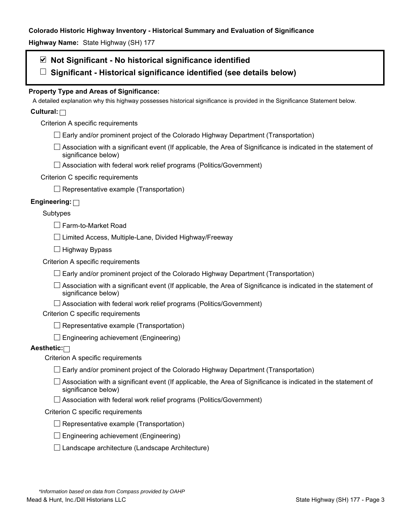**Highway Name:** State Highway (SH) 177

# **Not Significant - No historical significance identified**

**Significant - Historical significance identified (see details below)** 

# **Property Type and Areas of Significance:**

A detailed explanation why this highway possesses historical significance is provided in the Significance Statement below.

# **Cultural:**

Criterion A specific requirements

- $\Box$  Early and/or prominent project of the Colorado Highway Department (Transportation)
- $\Box$  Association with a significant event (If applicable, the Area of Significance is indicated in the statement of significance below)
- □ Association with federal work relief programs (Politics/Government)

### Criterion C specific requirements

 $\Box$  Representative example (Transportation)

# **Engineering:**

### Subtypes

Farm-to-Market Road

 $\Box$  Limited Access, Multiple-Lane, Divided Highway/Freeway

 $\Box$  Highway Bypass

Criterion A specific requirements

 $\Box$  Early and/or prominent project of the Colorado Highway Department (Transportation)

 $\Box$  Association with a significant event (If applicable, the Area of Significance is indicated in the statement of significance below)

 $\Box$  Association with federal work relief programs (Politics/Government)

Criterion C specific requirements

 $\Box$  Representative example (Transportation)

 $\Box$  Engineering achievement (Engineering)

# **Aesthetic:**

Criterion A specific requirements

- $\Box$  Early and/or prominent project of the Colorado Highway Department (Transportation)
- $\Box$  Association with a significant event (If applicable, the Area of Significance is indicated in the statement of significance below)
- $\Box$  Association with federal work relief programs (Politics/Government)

#### Criterion C specific requirements

- $\Box$  Representative example (Transportation)
- $\square$  Engineering achievement (Engineering)
- $\square$  Landscape architecture (Landscape Architecture)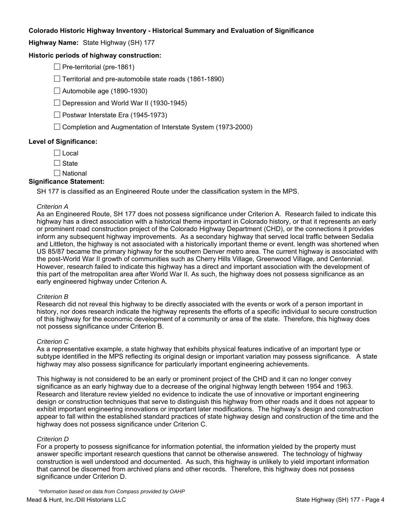**Highway Name:** State Highway (SH) 177

### **Historic periods of highway construction:**

 $\Box$  Pre-territorial (pre-1861)

 $\Box$  Territorial and pre-automobile state roads (1861-1890)

 $\Box$  Automobile age (1890-1930)

 $\Box$  Depression and World War II (1930-1945)

 $\Box$  Postwar Interstate Era (1945-1973)

 $\Box$  Completion and Augmentation of Interstate System (1973-2000)

#### **Level of Significance:**

 $\Box$  Local

 $\Box$  State

 $\Box$  National

#### **Significance Statement:**

SH 177 is classified as an Engineered Route under the classification system in the MPS.

#### *Criterion A*

As an Engineered Route, SH 177 does not possess significance under Criterion A. Research failed to indicate this highway has a direct association with a historical theme important in Colorado history, or that it represents an early or prominent road construction project of the Colorado Highway Department (CHD), or the connections it provides inform any subsequent highway improvements. As a secondary highway that served local traffic between Sedalia and Littleton, the highway is not associated with a historically important theme or event. length was shortened when US 85/87 became the primary highway for the southern Denver metro area. The current highway is associated with the post-World War II growth of communities such as Cherry Hills Village, Greenwood Village, and Centennial. However, research failed to indicate this highway has a direct and important association with the development of this part of the metropolitan area after World War II. As such, the highway does not possess significance as an early engineered highway under Criterion A.

#### *Criterion B*

Research did not reveal this highway to be directly associated with the events or work of a person important in history, nor does research indicate the highway represents the efforts of a specific individual to secure construction of this highway for the economic development of a community or area of the state. Therefore, this highway does not possess significance under Criterion B.

#### *Criterion C*

As a representative example, a state highway that exhibits physical features indicative of an important type or subtype identified in the MPS reflecting its original design or important variation may possess significance. A state highway may also possess significance for particularly important engineering achievements.

This highway is not considered to be an early or prominent project of the CHD and it can no longer convey significance as an early highway due to a decrease of the original highway length between 1954 and 1963. Research and literature review yielded no evidence to indicate the use of innovative or important engineering design or construction techniques that serve to distinguish this highway from other roads and it does not appear to exhibit important engineering innovations or important later modifications. The highway's design and construction appear to fall within the established standard practices of state highway design and construction of the time and the highway does not possess significance under Criterion C.

#### *Criterion D*

For a property to possess significance for information potential, the information yielded by the property must answer specific important research questions that cannot be otherwise answered. The technology of highway construction is well understood and documented. As such, this highway is unlikely to yield important information that cannot be discerned from archived plans and other records. Therefore, this highway does not possess significance under Criterion D.